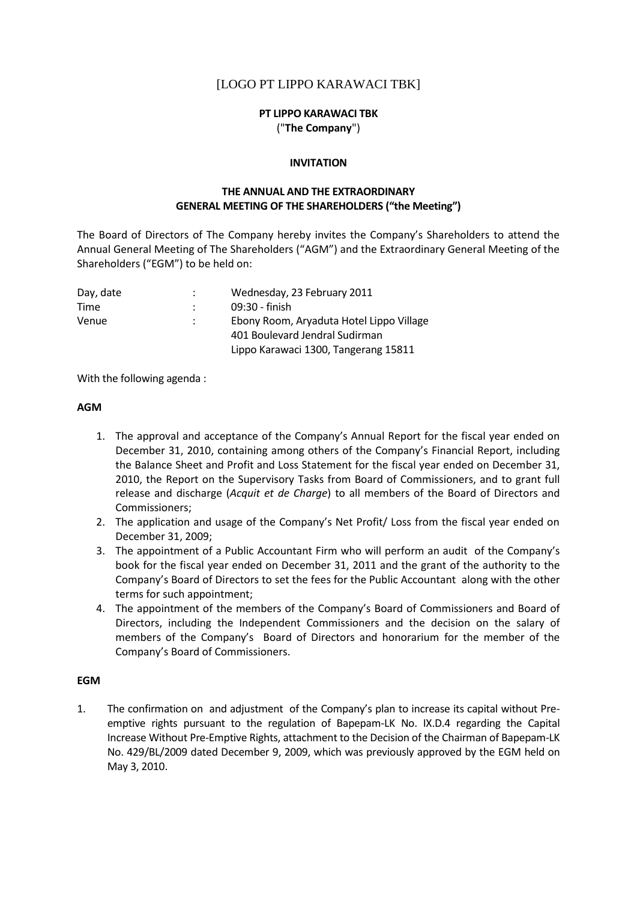# [LOGO PT LIPPO KARAWACI TBK]

# **PT LIPPO KARAWACI TBK** ("**The Company**")

#### **INVITATION**

### **THE ANNUAL AND THE EXTRAORDINARY GENERAL MEETING OF THE SHAREHOLDERS ("the Meeting")**

The Board of Directors of The Company hereby invites the Company's Shareholders to attend the Annual General Meeting of The Shareholders ("AGM") and the Extraordinary General Meeting of the Shareholders ("EGM") to be held on:

| Day, date | Wednesday, 23 February 2011              |
|-----------|------------------------------------------|
| Time      | 09:30 - finish                           |
| Venue     | Ebony Room, Aryaduta Hotel Lippo Village |
|           | 401 Boulevard Jendral Sudirman           |
|           | Lippo Karawaci 1300, Tangerang 15811     |
|           |                                          |

With the following agenda :

### **AGM**

- 1. The approval and acceptance of the Company's Annual Report for the fiscal year ended on December 31, 2010, containing among others of the Company's Financial Report, including the Balance Sheet and Profit and Loss Statement for the fiscal year ended on December 31, 2010, the Report on the Supervisory Tasks from Board of Commissioners, and to grant full release and discharge (*Acquit et de Charge*) to all members of the Board of Directors and Commissioners;
- 2. The application and usage of the Company's Net Profit/ Loss from the fiscal year ended on December 31, 2009;
- 3. The appointment of a Public Accountant Firm who will perform an audit of the Company's book for the fiscal year ended on December 31, 2011 and the grant of the authority to the Company's Board of Directors to set the fees for the Public Accountant along with the other terms for such appointment;
- 4. The appointment of the members of the Company's Board of Commissioners and Board of Directors, including the Independent Commissioners and the decision on the salary of members of the Company's Board of Directors and honorarium for the member of the Company's Board of Commissioners.

### **EGM**

1. The confirmation on and adjustment of the Company's plan to increase its capital without Preemptive rights pursuant to the regulation of Bapepam-LK No. IX.D.4 regarding the Capital Increase Without Pre-Emptive Rights, attachment to the Decision of the Chairman of Bapepam-LK No. 429/BL/2009 dated December 9, 2009, which was previously approved by the EGM held on May 3, 2010.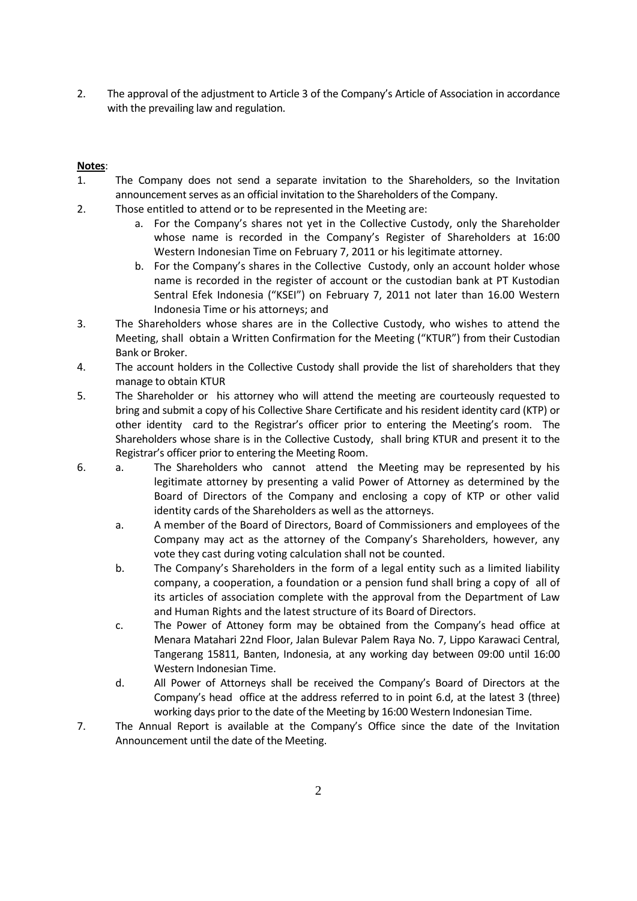2. The approval of the adjustment to Article 3 of the Company's Article of Association in accordance with the prevailing law and regulation.

# **Notes**:

- 1. The Company does not send a separate invitation to the Shareholders, so the Invitation announcement serves as an official invitation to the Shareholders of the Company.
- 2. Those entitled to attend or to be represented in the Meeting are:
	- a. For the Company's shares not yet in the Collective Custody, only the Shareholder whose name is recorded in the Company's Register of Shareholders at 16:00 Western Indonesian Time on February 7, 2011 or his legitimate attorney.
	- b. For the Company's shares in the Collective Custody, only an account holder whose name is recorded in the register of account or the custodian bank at PT Kustodian Sentral Efek Indonesia ("KSEI") on February 7, 2011 not later than 16.00 Western Indonesia Time or his attorneys; and
- 3. The Shareholders whose shares are in the Collective Custody, who wishes to attend the Meeting, shall obtain a Written Confirmation for the Meeting ("KTUR") from their Custodian Bank or Broker.
- 4. The account holders in the Collective Custody shall provide the list of shareholders that they manage to obtain KTUR
- 5. The Shareholder or his attorney who will attend the meeting are courteously requested to bring and submit a copy of his Collective Share Certificate and his resident identity card (KTP) or other identity card to the Registrar's officer prior to entering the Meeting's room. The Shareholders whose share is in the Collective Custody, shall bring KTUR and present it to the Registrar's officer prior to entering the Meeting Room.
- 6. a. The Shareholders who cannot attend the Meeting may be represented by his legitimate attorney by presenting a valid Power of Attorney as determined by the Board of Directors of the Company and enclosing a copy of KTP or other valid identity cards of the Shareholders as well as the attorneys.
	- a. A member of the Board of Directors, Board of Commissioners and employees of the Company may act as the attorney of the Company's Shareholders, however, any vote they cast during voting calculation shall not be counted.
	- b. The Company's Shareholders in the form of a legal entity such as a limited liability company, a cooperation, a foundation or a pension fund shall bring a copy of all of its articles of association complete with the approval from the Department of Law and Human Rights and the latest structure of its Board of Directors.
	- c. The Power of Attoney form may be obtained from the Company's head office at Menara Matahari 22nd Floor, Jalan Bulevar Palem Raya No. 7, Lippo Karawaci Central, Tangerang 15811, Banten, Indonesia, at any working day between 09:00 until 16:00 Western Indonesian Time.
	- d. All Power of Attorneys shall be received the Company's Board of Directors at the Company's head office at the address referred to in point 6.d, at the latest 3 (three) working days prior to the date of the Meeting by 16:00 Western Indonesian Time.
- 7. The Annual Report is available at the Company's Office since the date of the Invitation Announcement until the date of the Meeting.